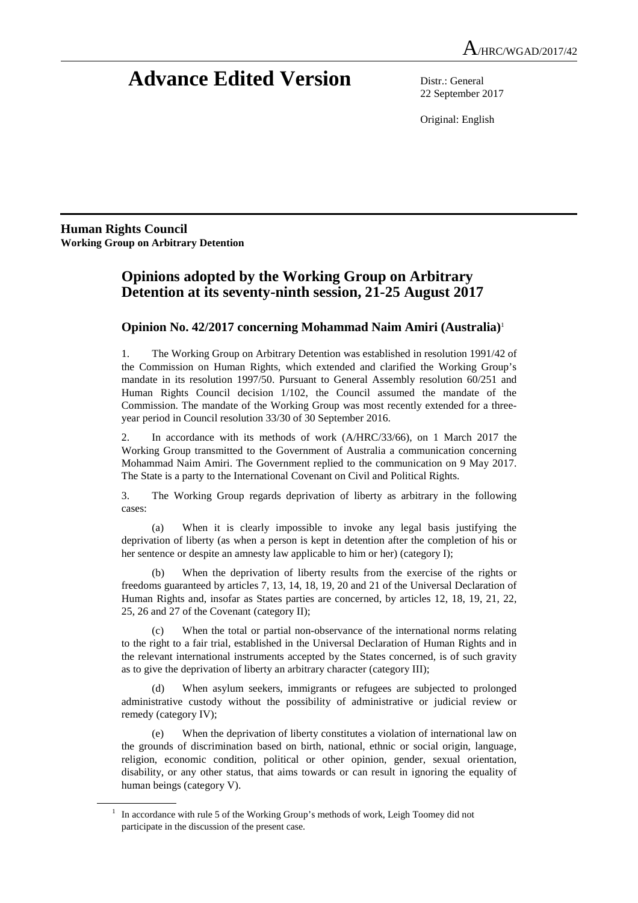# **Advance Edited Version** Distr.: General

22 September 2017

Original: English

**Human Rights Council Working Group on Arbitrary Detention** 

 $\overline{a}$ 

# **Opinions adopted by the Working Group on Arbitrary Detention at its seventy-ninth session, 21-25 August 2017**

# **Opinion No. 42/2017 concerning Mohammad Naim Amiri (Australia)**<sup>1</sup>

1. The Working Group on Arbitrary Detention was established in resolution 1991/42 of the Commission on Human Rights, which extended and clarified the Working Group's mandate in its resolution 1997/50. Pursuant to General Assembly resolution 60/251 and Human Rights Council decision 1/102, the Council assumed the mandate of the Commission. The mandate of the Working Group was most recently extended for a threeyear period in Council resolution 33/30 of 30 September 2016.

2. In accordance with its methods of work (A/HRC/33/66), on 1 March 2017 the Working Group transmitted to the Government of Australia a communication concerning Mohammad Naim Amiri. The Government replied to the communication on 9 May 2017. The State is a party to the International Covenant on Civil and Political Rights.

3. The Working Group regards deprivation of liberty as arbitrary in the following cases:

 (a) When it is clearly impossible to invoke any legal basis justifying the deprivation of liberty (as when a person is kept in detention after the completion of his or her sentence or despite an amnesty law applicable to him or her) (category I);

 (b) When the deprivation of liberty results from the exercise of the rights or freedoms guaranteed by articles 7, 13, 14, 18, 19, 20 and 21 of the Universal Declaration of Human Rights and, insofar as States parties are concerned, by articles 12, 18, 19, 21, 22, 25, 26 and 27 of the Covenant (category II);

 (c) When the total or partial non-observance of the international norms relating to the right to a fair trial, established in the Universal Declaration of Human Rights and in the relevant international instruments accepted by the States concerned, is of such gravity as to give the deprivation of liberty an arbitrary character (category III);

When asylum seekers, immigrants or refugees are subjected to prolonged administrative custody without the possibility of administrative or judicial review or remedy (category IV);

 (e) When the deprivation of liberty constitutes a violation of international law on the grounds of discrimination based on birth, national, ethnic or social origin, language, religion, economic condition, political or other opinion, gender, sexual orientation, disability, or any other status, that aims towards or can result in ignoring the equality of human beings (category V).

<sup>1</sup> In accordance with rule 5 of the Working Group's methods of work, Leigh Toomey did not participate in the discussion of the present case.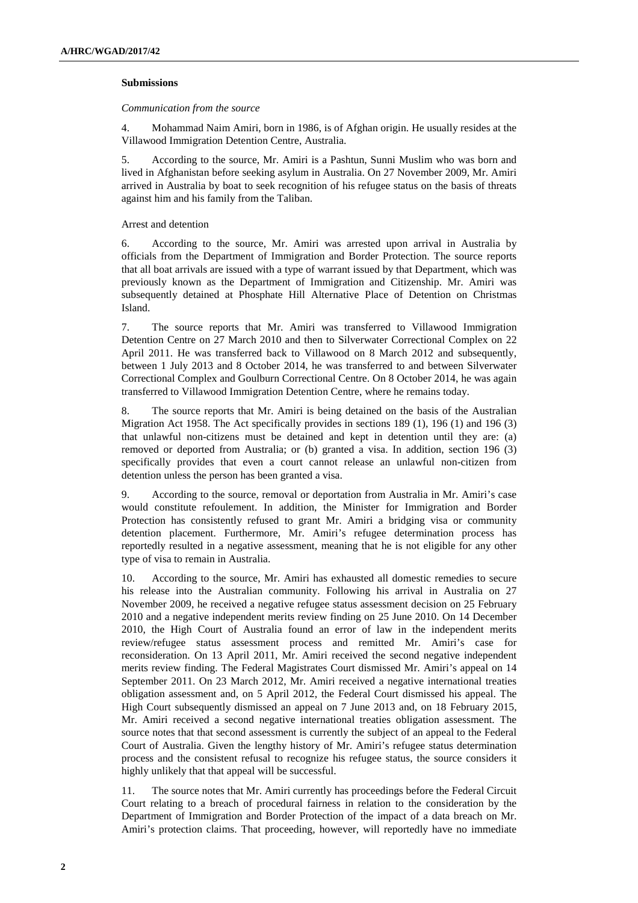# **Submissions**

#### *Communication from the source*

4. Mohammad Naim Amiri, born in 1986, is of Afghan origin. He usually resides at the Villawood Immigration Detention Centre, Australia.

5. According to the source, Mr. Amiri is a Pashtun, Sunni Muslim who was born and lived in Afghanistan before seeking asylum in Australia. On 27 November 2009, Mr. Amiri arrived in Australia by boat to seek recognition of his refugee status on the basis of threats against him and his family from the Taliban.

#### Arrest and detention

6. According to the source, Mr. Amiri was arrested upon arrival in Australia by officials from the Department of Immigration and Border Protection. The source reports that all boat arrivals are issued with a type of warrant issued by that Department, which was previously known as the Department of Immigration and Citizenship. Mr. Amiri was subsequently detained at Phosphate Hill Alternative Place of Detention on Christmas Island.

7. The source reports that Mr. Amiri was transferred to Villawood Immigration Detention Centre on 27 March 2010 and then to Silverwater Correctional Complex on 22 April 2011. He was transferred back to Villawood on 8 March 2012 and subsequently, between 1 July 2013 and 8 October 2014, he was transferred to and between Silverwater Correctional Complex and Goulburn Correctional Centre. On 8 October 2014, he was again transferred to Villawood Immigration Detention Centre, where he remains today.

8. The source reports that Mr. Amiri is being detained on the basis of the Australian Migration Act 1958. The Act specifically provides in sections 189 (1), 196 (1) and 196 (3) that unlawful non-citizens must be detained and kept in detention until they are: (a) removed or deported from Australia; or (b) granted a visa. In addition, section 196 (3) specifically provides that even a court cannot release an unlawful non-citizen from detention unless the person has been granted a visa.

9. According to the source, removal or deportation from Australia in Mr. Amiri's case would constitute refoulement. In addition, the Minister for Immigration and Border Protection has consistently refused to grant Mr. Amiri a bridging visa or community detention placement. Furthermore, Mr. Amiri's refugee determination process has reportedly resulted in a negative assessment, meaning that he is not eligible for any other type of visa to remain in Australia.

10. According to the source, Mr. Amiri has exhausted all domestic remedies to secure his release into the Australian community. Following his arrival in Australia on 27 November 2009, he received a negative refugee status assessment decision on 25 February 2010 and a negative independent merits review finding on 25 June 2010. On 14 December 2010, the High Court of Australia found an error of law in the independent merits review/refugee status assessment process and remitted Mr. Amiri's case for reconsideration. On 13 April 2011, Mr. Amiri received the second negative independent merits review finding. The Federal Magistrates Court dismissed Mr. Amiri's appeal on 14 September 2011. On 23 March 2012, Mr. Amiri received a negative international treaties obligation assessment and, on 5 April 2012, the Federal Court dismissed his appeal. The High Court subsequently dismissed an appeal on 7 June 2013 and, on 18 February 2015, Mr. Amiri received a second negative international treaties obligation assessment. The source notes that that second assessment is currently the subject of an appeal to the Federal Court of Australia. Given the lengthy history of Mr. Amiri's refugee status determination process and the consistent refusal to recognize his refugee status, the source considers it highly unlikely that that appeal will be successful.

11. The source notes that Mr. Amiri currently has proceedings before the Federal Circuit Court relating to a breach of procedural fairness in relation to the consideration by the Department of Immigration and Border Protection of the impact of a data breach on Mr. Amiri's protection claims. That proceeding, however, will reportedly have no immediate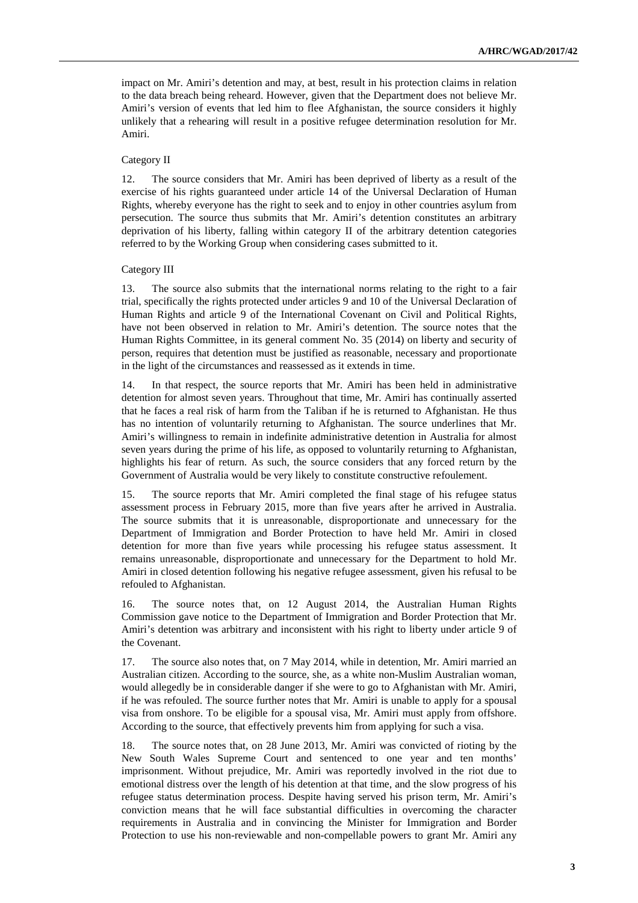impact on Mr. Amiri's detention and may, at best, result in his protection claims in relation to the data breach being reheard. However, given that the Department does not believe Mr. Amiri's version of events that led him to flee Afghanistan, the source considers it highly unlikely that a rehearing will result in a positive refugee determination resolution for Mr. Amiri.

# Category II

12. The source considers that Mr. Amiri has been deprived of liberty as a result of the exercise of his rights guaranteed under article 14 of the Universal Declaration of Human Rights, whereby everyone has the right to seek and to enjoy in other countries asylum from persecution. The source thus submits that Mr. Amiri's detention constitutes an arbitrary deprivation of his liberty, falling within category II of the arbitrary detention categories referred to by the Working Group when considering cases submitted to it.

#### Category III

13. The source also submits that the international norms relating to the right to a fair trial, specifically the rights protected under articles 9 and 10 of the Universal Declaration of Human Rights and article 9 of the International Covenant on Civil and Political Rights, have not been observed in relation to Mr. Amiri's detention. The source notes that the Human Rights Committee, in its general comment No. 35 (2014) on liberty and security of person, requires that detention must be justified as reasonable, necessary and proportionate in the light of the circumstances and reassessed as it extends in time.

14. In that respect, the source reports that Mr. Amiri has been held in administrative detention for almost seven years. Throughout that time, Mr. Amiri has continually asserted that he faces a real risk of harm from the Taliban if he is returned to Afghanistan. He thus has no intention of voluntarily returning to Afghanistan. The source underlines that Mr. Amiri's willingness to remain in indefinite administrative detention in Australia for almost seven years during the prime of his life, as opposed to voluntarily returning to Afghanistan, highlights his fear of return. As such, the source considers that any forced return by the Government of Australia would be very likely to constitute constructive refoulement.

15. The source reports that Mr. Amiri completed the final stage of his refugee status assessment process in February 2015, more than five years after he arrived in Australia. The source submits that it is unreasonable, disproportionate and unnecessary for the Department of Immigration and Border Protection to have held Mr. Amiri in closed detention for more than five years while processing his refugee status assessment. It remains unreasonable, disproportionate and unnecessary for the Department to hold Mr. Amiri in closed detention following his negative refugee assessment, given his refusal to be refouled to Afghanistan.

16. The source notes that, on 12 August 2014, the Australian Human Rights Commission gave notice to the Department of Immigration and Border Protection that Mr. Amiri's detention was arbitrary and inconsistent with his right to liberty under article 9 of the Covenant.

17. The source also notes that, on 7 May 2014, while in detention, Mr. Amiri married an Australian citizen. According to the source, she, as a white non-Muslim Australian woman, would allegedly be in considerable danger if she were to go to Afghanistan with Mr. Amiri, if he was refouled. The source further notes that Mr. Amiri is unable to apply for a spousal visa from onshore. To be eligible for a spousal visa, Mr. Amiri must apply from offshore. According to the source, that effectively prevents him from applying for such a visa.

18. The source notes that, on 28 June 2013, Mr. Amiri was convicted of rioting by the New South Wales Supreme Court and sentenced to one year and ten months' imprisonment. Without prejudice, Mr. Amiri was reportedly involved in the riot due to emotional distress over the length of his detention at that time, and the slow progress of his refugee status determination process. Despite having served his prison term, Mr. Amiri's conviction means that he will face substantial difficulties in overcoming the character requirements in Australia and in convincing the Minister for Immigration and Border Protection to use his non-reviewable and non-compellable powers to grant Mr. Amiri any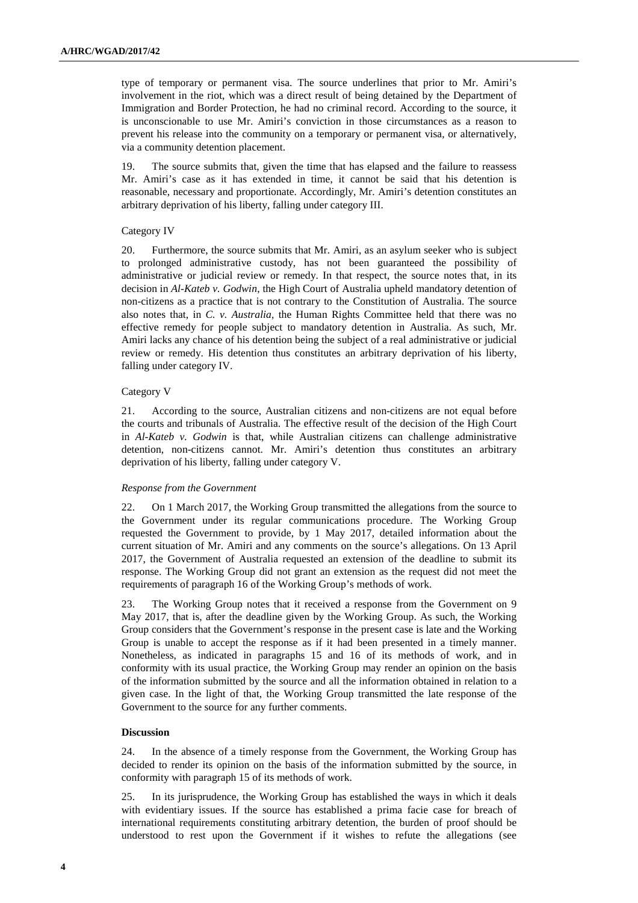type of temporary or permanent visa. The source underlines that prior to Mr. Amiri's involvement in the riot, which was a direct result of being detained by the Department of Immigration and Border Protection, he had no criminal record. According to the source, it is unconscionable to use Mr. Amiri's conviction in those circumstances as a reason to prevent his release into the community on a temporary or permanent visa, or alternatively, via a community detention placement.

19. The source submits that, given the time that has elapsed and the failure to reassess Mr. Amiri's case as it has extended in time, it cannot be said that his detention is reasonable, necessary and proportionate. Accordingly, Mr. Amiri's detention constitutes an arbitrary deprivation of his liberty, falling under category III.

#### Category IV

20. Furthermore, the source submits that Mr. Amiri, as an asylum seeker who is subject to prolonged administrative custody, has not been guaranteed the possibility of administrative or judicial review or remedy. In that respect, the source notes that, in its decision in *Al-Kateb v. Godwin*, the High Court of Australia upheld mandatory detention of non-citizens as a practice that is not contrary to the Constitution of Australia. The source also notes that, in *C. v. Australia*, the Human Rights Committee held that there was no effective remedy for people subject to mandatory detention in Australia. As such, Mr. Amiri lacks any chance of his detention being the subject of a real administrative or judicial review or remedy. His detention thus constitutes an arbitrary deprivation of his liberty, falling under category IV.

#### Category V

21. According to the source, Australian citizens and non-citizens are not equal before the courts and tribunals of Australia. The effective result of the decision of the High Court in *Al-Kateb v. Godwin* is that, while Australian citizens can challenge administrative detention, non-citizens cannot. Mr. Amiri's detention thus constitutes an arbitrary deprivation of his liberty, falling under category V.

# *Response from the Government*

22. On 1 March 2017, the Working Group transmitted the allegations from the source to the Government under its regular communications procedure. The Working Group requested the Government to provide, by 1 May 2017, detailed information about the current situation of Mr. Amiri and any comments on the source's allegations. On 13 April 2017, the Government of Australia requested an extension of the deadline to submit its response. The Working Group did not grant an extension as the request did not meet the requirements of paragraph 16 of the Working Group's methods of work.

23. The Working Group notes that it received a response from the Government on 9 May 2017, that is, after the deadline given by the Working Group. As such, the Working Group considers that the Government's response in the present case is late and the Working Group is unable to accept the response as if it had been presented in a timely manner. Nonetheless, as indicated in paragraphs 15 and 16 of its methods of work, and in conformity with its usual practice, the Working Group may render an opinion on the basis of the information submitted by the source and all the information obtained in relation to a given case. In the light of that, the Working Group transmitted the late response of the Government to the source for any further comments.

# **Discussion**

24. In the absence of a timely response from the Government, the Working Group has decided to render its opinion on the basis of the information submitted by the source, in conformity with paragraph 15 of its methods of work.

25. In its jurisprudence, the Working Group has established the ways in which it deals with evidentiary issues. If the source has established a prima facie case for breach of international requirements constituting arbitrary detention, the burden of proof should be understood to rest upon the Government if it wishes to refute the allegations (see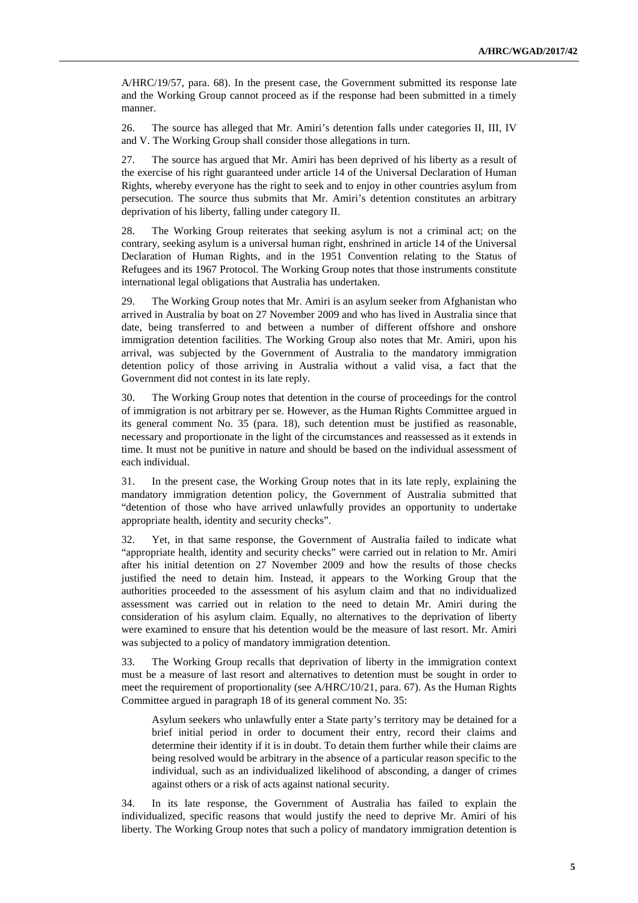A/HRC/19/57, para. 68). In the present case, the Government submitted its response late and the Working Group cannot proceed as if the response had been submitted in a timely manner.

26. The source has alleged that Mr. Amiri's detention falls under categories II, III, IV and V. The Working Group shall consider those allegations in turn.

27. The source has argued that Mr. Amiri has been deprived of his liberty as a result of the exercise of his right guaranteed under article 14 of the Universal Declaration of Human Rights, whereby everyone has the right to seek and to enjoy in other countries asylum from persecution. The source thus submits that Mr. Amiri's detention constitutes an arbitrary deprivation of his liberty, falling under category II.

28. The Working Group reiterates that seeking asylum is not a criminal act; on the contrary, seeking asylum is a universal human right, enshrined in article 14 of the Universal Declaration of Human Rights, and in the 1951 Convention relating to the Status of Refugees and its 1967 Protocol. The Working Group notes that those instruments constitute international legal obligations that Australia has undertaken.

29. The Working Group notes that Mr. Amiri is an asylum seeker from Afghanistan who arrived in Australia by boat on 27 November 2009 and who has lived in Australia since that date, being transferred to and between a number of different offshore and onshore immigration detention facilities. The Working Group also notes that Mr. Amiri, upon his arrival, was subjected by the Government of Australia to the mandatory immigration detention policy of those arriving in Australia without a valid visa, a fact that the Government did not contest in its late reply.

30. The Working Group notes that detention in the course of proceedings for the control of immigration is not arbitrary per se. However, as the Human Rights Committee argued in its general comment No. 35 (para. 18), such detention must be justified as reasonable, necessary and proportionate in the light of the circumstances and reassessed as it extends in time. It must not be punitive in nature and should be based on the individual assessment of each individual.

31. In the present case, the Working Group notes that in its late reply, explaining the mandatory immigration detention policy, the Government of Australia submitted that "detention of those who have arrived unlawfully provides an opportunity to undertake appropriate health, identity and security checks".

32. Yet, in that same response, the Government of Australia failed to indicate what "appropriate health, identity and security checks" were carried out in relation to Mr. Amiri after his initial detention on 27 November 2009 and how the results of those checks justified the need to detain him. Instead, it appears to the Working Group that the authorities proceeded to the assessment of his asylum claim and that no individualized assessment was carried out in relation to the need to detain Mr. Amiri during the consideration of his asylum claim. Equally, no alternatives to the deprivation of liberty were examined to ensure that his detention would be the measure of last resort. Mr. Amiri was subjected to a policy of mandatory immigration detention.

33. The Working Group recalls that deprivation of liberty in the immigration context must be a measure of last resort and alternatives to detention must be sought in order to meet the requirement of proportionality (see A/HRC/10/21, para. 67). As the Human Rights Committee argued in paragraph 18 of its general comment No. 35:

Asylum seekers who unlawfully enter a State party's territory may be detained for a brief initial period in order to document their entry, record their claims and determine their identity if it is in doubt. To detain them further while their claims are being resolved would be arbitrary in the absence of a particular reason specific to the individual, such as an individualized likelihood of absconding, a danger of crimes against others or a risk of acts against national security.

34. In its late response, the Government of Australia has failed to explain the individualized, specific reasons that would justify the need to deprive Mr. Amiri of his liberty. The Working Group notes that such a policy of mandatory immigration detention is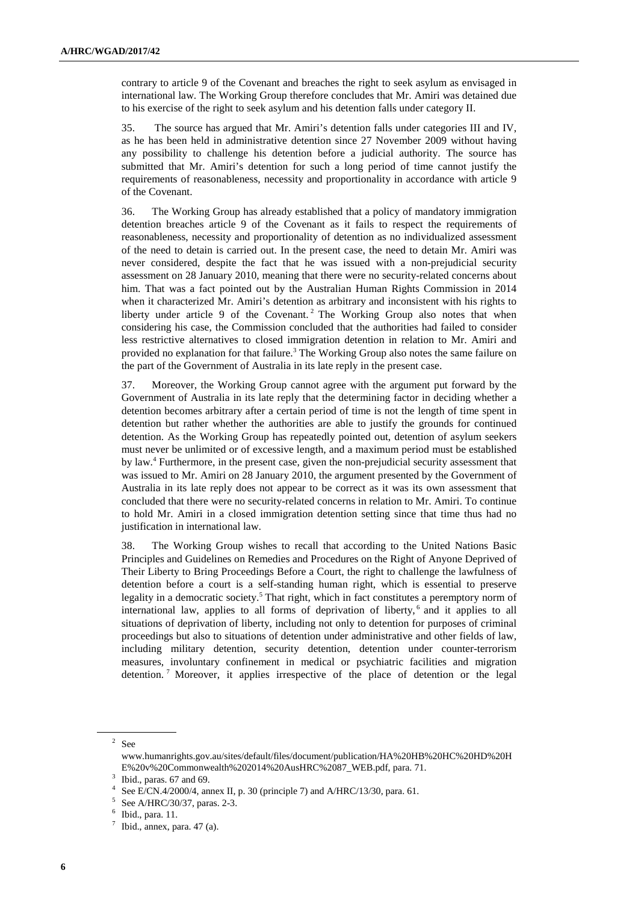contrary to article 9 of the Covenant and breaches the right to seek asylum as envisaged in international law. The Working Group therefore concludes that Mr. Amiri was detained due to his exercise of the right to seek asylum and his detention falls under category II.

35. The source has argued that Mr. Amiri's detention falls under categories III and IV, as he has been held in administrative detention since 27 November 2009 without having any possibility to challenge his detention before a judicial authority. The source has submitted that Mr. Amiri's detention for such a long period of time cannot justify the requirements of reasonableness, necessity and proportionality in accordance with article 9 of the Covenant.

36. The Working Group has already established that a policy of mandatory immigration detention breaches article 9 of the Covenant as it fails to respect the requirements of reasonableness, necessity and proportionality of detention as no individualized assessment of the need to detain is carried out. In the present case, the need to detain Mr. Amiri was never considered, despite the fact that he was issued with a non-prejudicial security assessment on 28 January 2010, meaning that there were no security-related concerns about him. That was a fact pointed out by the Australian Human Rights Commission in 2014 when it characterized Mr. Amiri's detention as arbitrary and inconsistent with his rights to liberty under article 9 of the Covenant.<sup>2</sup> The Working Group also notes that when considering his case, the Commission concluded that the authorities had failed to consider less restrictive alternatives to closed immigration detention in relation to Mr. Amiri and provided no explanation for that failure.<sup>3</sup> The Working Group also notes the same failure on the part of the Government of Australia in its late reply in the present case.

37. Moreover, the Working Group cannot agree with the argument put forward by the Government of Australia in its late reply that the determining factor in deciding whether a detention becomes arbitrary after a certain period of time is not the length of time spent in detention but rather whether the authorities are able to justify the grounds for continued detention. As the Working Group has repeatedly pointed out, detention of asylum seekers must never be unlimited or of excessive length, and a maximum period must be established by law.<sup>4</sup> Furthermore, in the present case, given the non-prejudicial security assessment that was issued to Mr. Amiri on 28 January 2010, the argument presented by the Government of Australia in its late reply does not appear to be correct as it was its own assessment that concluded that there were no security-related concerns in relation to Mr. Amiri. To continue to hold Mr. Amiri in a closed immigration detention setting since that time thus had no justification in international law.

38. The Working Group wishes to recall that according to the United Nations Basic Principles and Guidelines on Remedies and Procedures on the Right of Anyone Deprived of Their Liberty to Bring Proceedings Before a Court, the right to challenge the lawfulness of detention before a court is a self-standing human right, which is essential to preserve legality in a democratic society.<sup>5</sup> That right, which in fact constitutes a peremptory norm of international law, applies to all forms of deprivation of liberty,<sup>6</sup> and it applies to all situations of deprivation of liberty, including not only to detention for purposes of criminal proceedings but also to situations of detention under administrative and other fields of law, including military detention, security detention, detention under counter-terrorism measures, involuntary confinement in medical or psychiatric facilities and migration detention.<sup>7</sup> Moreover, it applies irrespective of the place of detention or the legal

 $2$  See

www.humanrights.gov.au/sites/default/files/document/publication/HA%20HB%20HC%20HD%20H E%20v%20Commonwealth%202014%20AusHRC%2087\_WEB.pdf, para. 71.

 $3$  Ibid., paras. 67 and 69.

<sup>4</sup> See E/CN.4/2000/4, annex II, p. 30 (principle 7) and A/HRC/13/30, para. 61.

<sup>5</sup> See A/HRC/30/37, paras. 2-3.

<sup>6</sup> Ibid., para. 11.

 $7$  Ibid., annex, para. 47 (a).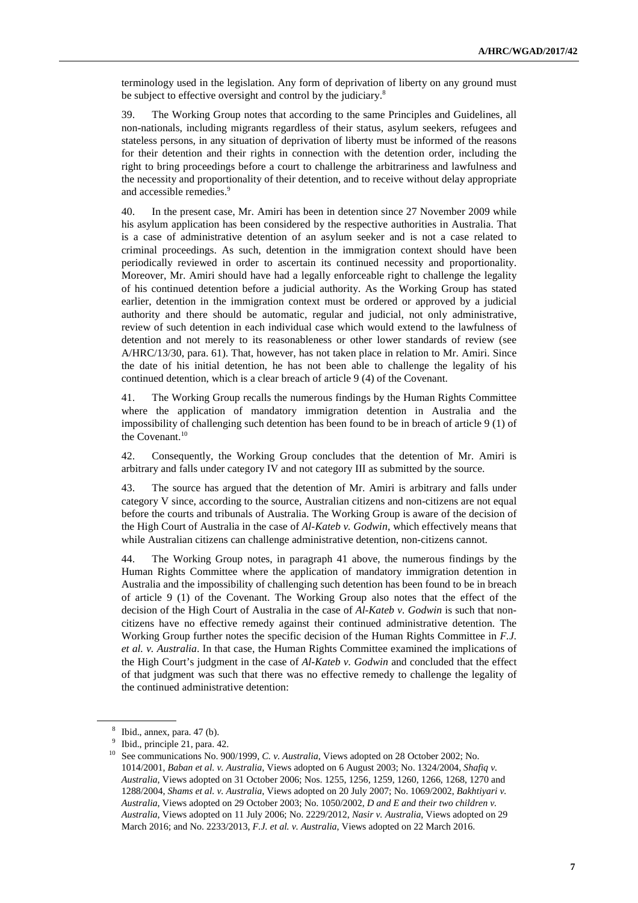terminology used in the legislation. Any form of deprivation of liberty on any ground must be subject to effective oversight and control by the judiciary.<sup>8</sup>

39. The Working Group notes that according to the same Principles and Guidelines, all non-nationals, including migrants regardless of their status, asylum seekers, refugees and stateless persons, in any situation of deprivation of liberty must be informed of the reasons for their detention and their rights in connection with the detention order, including the right to bring proceedings before a court to challenge the arbitrariness and lawfulness and the necessity and proportionality of their detention, and to receive without delay appropriate and accessible remedies.<sup>9</sup>

40. In the present case, Mr. Amiri has been in detention since 27 November 2009 while his asylum application has been considered by the respective authorities in Australia. That is a case of administrative detention of an asylum seeker and is not a case related to criminal proceedings. As such, detention in the immigration context should have been periodically reviewed in order to ascertain its continued necessity and proportionality. Moreover, Mr. Amiri should have had a legally enforceable right to challenge the legality of his continued detention before a judicial authority. As the Working Group has stated earlier, detention in the immigration context must be ordered or approved by a judicial authority and there should be automatic, regular and judicial, not only administrative, review of such detention in each individual case which would extend to the lawfulness of detention and not merely to its reasonableness or other lower standards of review (see A/HRC/13/30, para. 61). That, however, has not taken place in relation to Mr. Amiri. Since the date of his initial detention, he has not been able to challenge the legality of his continued detention, which is a clear breach of article 9 (4) of the Covenant.

41. The Working Group recalls the numerous findings by the Human Rights Committee where the application of mandatory immigration detention in Australia and the impossibility of challenging such detention has been found to be in breach of article 9 (1) of the Covenant.<sup>10</sup>

42. Consequently, the Working Group concludes that the detention of Mr. Amiri is arbitrary and falls under category IV and not category III as submitted by the source.

43. The source has argued that the detention of Mr. Amiri is arbitrary and falls under category V since, according to the source, Australian citizens and non-citizens are not equal before the courts and tribunals of Australia. The Working Group is aware of the decision of the High Court of Australia in the case of *Al-Kateb v. Godwin*, which effectively means that while Australian citizens can challenge administrative detention, non-citizens cannot.

44. The Working Group notes, in paragraph 41 above, the numerous findings by the Human Rights Committee where the application of mandatory immigration detention in Australia and the impossibility of challenging such detention has been found to be in breach of article 9 (1) of the Covenant. The Working Group also notes that the effect of the decision of the High Court of Australia in the case of *Al-Kateb v. Godwin* is such that noncitizens have no effective remedy against their continued administrative detention. The Working Group further notes the specific decision of the Human Rights Committee in *F.J. et al. v. Australia*. In that case, the Human Rights Committee examined the implications of the High Court's judgment in the case of *Al-Kateb v. Godwin* and concluded that the effect of that judgment was such that there was no effective remedy to challenge the legality of the continued administrative detention:

 $8$  Ibid., annex, para. 47 (b).

<sup>&</sup>lt;sup>9</sup> Ibid., principle 21, para. 42.

<sup>&</sup>lt;sup>10</sup> See communications No. 900/1999, *C. v. Australia*, Views adopted on 28 October 2002; No. 1014/2001, *Baban et al. v. Australia*, Views adopted on 6 August 2003; No. 1324/2004, *Shafiq v. Australia*, Views adopted on 31 October 2006; Nos. 1255, 1256, 1259, 1260, 1266, 1268, 1270 and 1288/2004, *Shams et al. v. Australia*, Views adopted on 20 July 2007; No. 1069/2002, *Bakhtiyari v. Australia*, Views adopted on 29 October 2003; No. 1050/2002, *D and E and their two children v. Australia*, Views adopted on 11 July 2006; No. 2229/2012, *Nasir v. Australia*, Views adopted on 29 March 2016; and No. 2233/2013, *F.J. et al. v. Australia*, Views adopted on 22 March 2016.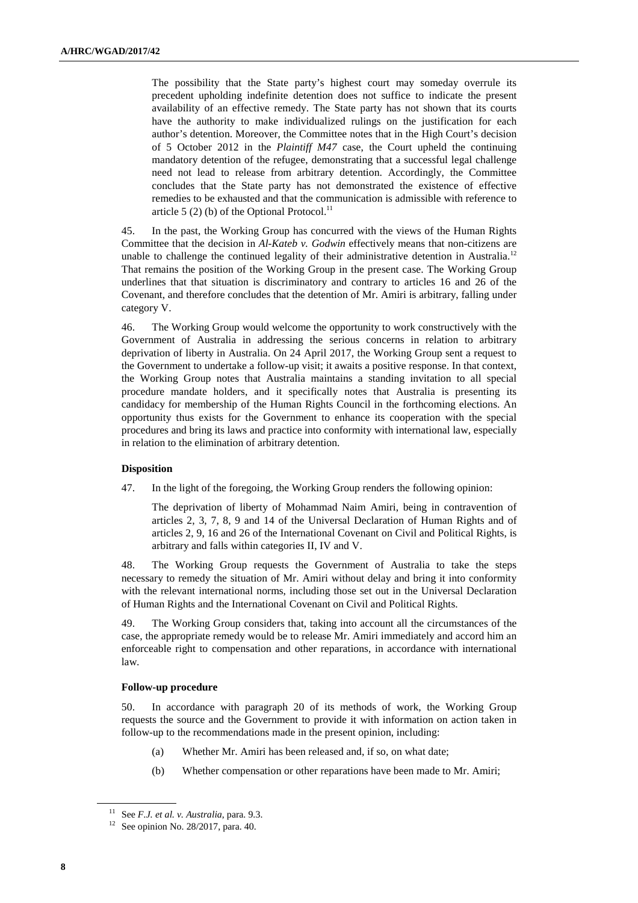The possibility that the State party's highest court may someday overrule its precedent upholding indefinite detention does not suffice to indicate the present availability of an effective remedy. The State party has not shown that its courts have the authority to make individualized rulings on the justification for each author's detention. Moreover, the Committee notes that in the High Court's decision of 5 October 2012 in the *Plaintiff M47* case, the Court upheld the continuing mandatory detention of the refugee, demonstrating that a successful legal challenge need not lead to release from arbitrary detention. Accordingly, the Committee concludes that the State party has not demonstrated the existence of effective remedies to be exhausted and that the communication is admissible with reference to article 5 (2) (b) of the Optional Protocol.<sup>11</sup>

45. In the past, the Working Group has concurred with the views of the Human Rights Committee that the decision in *Al-Kateb v. Godwin* effectively means that non-citizens are unable to challenge the continued legality of their administrative detention in Australia.<sup>12</sup> That remains the position of the Working Group in the present case. The Working Group underlines that that situation is discriminatory and contrary to articles 16 and 26 of the Covenant, and therefore concludes that the detention of Mr. Amiri is arbitrary, falling under category V.

46. The Working Group would welcome the opportunity to work constructively with the Government of Australia in addressing the serious concerns in relation to arbitrary deprivation of liberty in Australia. On 24 April 2017, the Working Group sent a request to the Government to undertake a follow-up visit; it awaits a positive response. In that context, the Working Group notes that Australia maintains a standing invitation to all special procedure mandate holders, and it specifically notes that Australia is presenting its candidacy for membership of the Human Rights Council in the forthcoming elections. An opportunity thus exists for the Government to enhance its cooperation with the special procedures and bring its laws and practice into conformity with international law, especially in relation to the elimination of arbitrary detention.

# **Disposition**

47. In the light of the foregoing, the Working Group renders the following opinion:

The deprivation of liberty of Mohammad Naim Amiri, being in contravention of articles 2, 3, 7, 8, 9 and 14 of the Universal Declaration of Human Rights and of articles 2, 9, 16 and 26 of the International Covenant on Civil and Political Rights, is arbitrary and falls within categories II, IV and V.

48. The Working Group requests the Government of Australia to take the steps necessary to remedy the situation of Mr. Amiri without delay and bring it into conformity with the relevant international norms, including those set out in the Universal Declaration of Human Rights and the International Covenant on Civil and Political Rights.

49. The Working Group considers that, taking into account all the circumstances of the case, the appropriate remedy would be to release Mr. Amiri immediately and accord him an enforceable right to compensation and other reparations, in accordance with international law.

# **Follow-up procedure**

50. In accordance with paragraph 20 of its methods of work, the Working Group requests the source and the Government to provide it with information on action taken in follow-up to the recommendations made in the present opinion, including:

- (a) Whether Mr. Amiri has been released and, if so, on what date;
- (b) Whether compensation or other reparations have been made to Mr. Amiri;

<sup>11</sup> See *F.J. et al. v. Australia*, para. 9.3.

<sup>&</sup>lt;sup>12</sup> See opinion No. 28/2017, para. 40.